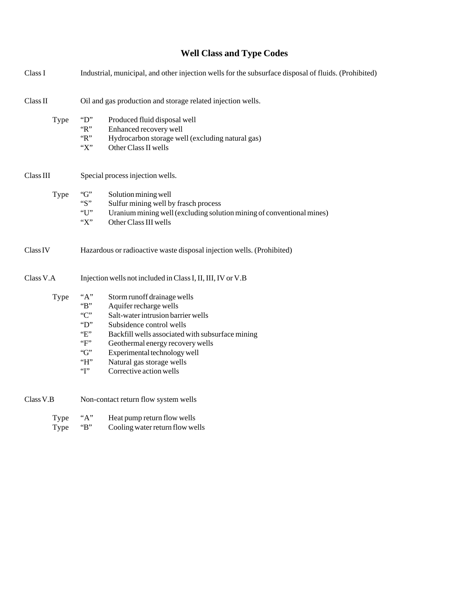# **Well Class and Type Codes**

| Class I      | Industrial, municipal, and other injection wells for the subsurface disposal of fluids. (Prohibited)                                                                                                                                                                                                                                                                          |
|--------------|-------------------------------------------------------------------------------------------------------------------------------------------------------------------------------------------------------------------------------------------------------------------------------------------------------------------------------------------------------------------------------|
| Class II     | Oil and gas production and storage related injection wells.                                                                                                                                                                                                                                                                                                                   |
| Type         | $\lq\lq$ .<br>Produced fluid disposal well<br>$\lq$ $\lq$ $\lq$<br>Enhanced recovery well<br>$\lq$ $\lq$<br>Hydrocarbon storage well (excluding natural gas)<br>"X"<br>Other Class II wells                                                                                                                                                                                   |
| Class III    | Special process injection wells.                                                                                                                                                                                                                                                                                                                                              |
| Type         | G<br>Solution mining well<br>" $S$ "<br>Sulfur mining well by frasch process<br>"U"<br>Uranium mining well (excluding solution mining of conventional mines)<br>$\lq\lq X$<br>Other Class III wells                                                                                                                                                                           |
| Class IV     | Hazardous or radioactive waste disposal injection wells. (Prohibited)                                                                                                                                                                                                                                                                                                         |
| Class V.A    | Injection wells not included in Class I, II, III, IV or V.B                                                                                                                                                                                                                                                                                                                   |
| Type         | "A"<br>Storm runoff drainage wells<br>$B$ "<br>Aquifer recharge wells<br>C<br>Salt-water intrusion barrier wells<br>$\mathrm{``D''}$<br>Subsidence control wells<br>E<br>Backfill wells associated with subsurface mining<br>F<br>Geothermal energy recovery wells<br>G<br>Experimental technology well<br>$H$ .<br>Natural gas storage wells<br>T<br>Corrective action wells |
| Class V.B    | Non-contact return flow system wells                                                                                                                                                                                                                                                                                                                                          |
| Type<br>Type | "A"<br>Heat pump return flow wells<br>B<br>Cooling water return flow wells                                                                                                                                                                                                                                                                                                    |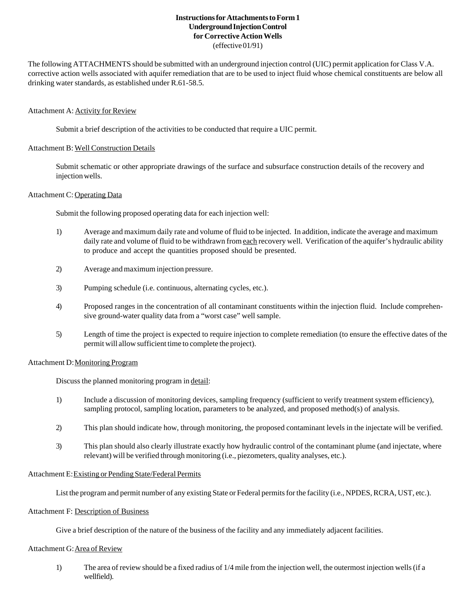# **Instructions for Attachments to Form 1 Underground Injection Control for Corrective Action Wells** (effective 01/91)

The following ATTACHMENTS should be submitted with an underground injection control (UIC) permit application for Class V.A. corrective action wells associated with aquifer remediation that are to be used to inject fluid whose chemical constituents are below all drinking water standards, as established under R.61-58.5.

## Attachment A: Activity for Review

Submit a brief description of the activities to be conducted that require a UIC permit.

## Attachment B: Well Construction Details

Submit schematic or other appropriate drawings of the surface and subsurface construction details of the recovery and injection wells.

### Attachment C: Operating Data

Submit the following proposed operating data for each injection well:

- 1) Average and maximum daily rate and volume of fluid to be injected. In addition, indicate the average and maximum daily rate and volume of fluid to be withdrawn from each recovery well. Verification of the aquifer's hydraulic ability to produce and accept the quantities proposed should be presented.
- 2) Average and maximum injection pressure.
- 3) Pumping schedule (i.e. continuous, alternating cycles, etc.).
- 4) Proposed ranges in the concentration of all contaminant constituents within the injection fluid. Include comprehensive ground-water quality data from a "worst case" well sample.
- 5) Length of time the project is expected to require injection to complete remediation (to ensure the effective dates of the permit will allow sufficient time to complete the project).

### Attachment D: Monitoring Program

Discuss the planned monitoring program in detail:

- 1) Include a discussion of monitoring devices, sampling frequency (sufficient to verify treatment system efficiency), sampling protocol, sampling location, parameters to be analyzed, and proposed method(s) of analysis.
- 2) This plan should indicate how, through monitoring, the proposed contaminant levels in the injectate will be verified.
- 3) This plan should also clearly illustrate exactly how hydraulic control of the contaminant plume (and injectate, where relevant) will be verified through monitoring (i.e., piezometers, quality analyses, etc.).

## Attachment E: Existing or Pending State/Federal Permits

List the program and permit number of any existing State or Federal permits for the facility (i.e., NPDES, RCRA, UST, etc.).

# Attachment F: Description of Business

Give a brief description of the nature of the business of the facility and any immediately adjacent facilities.

### Attachment G: Area of Review

1) The area of review should be a fixed radius of 1/4 mile from the injection well, the outermost injection wells (if a wellfield).